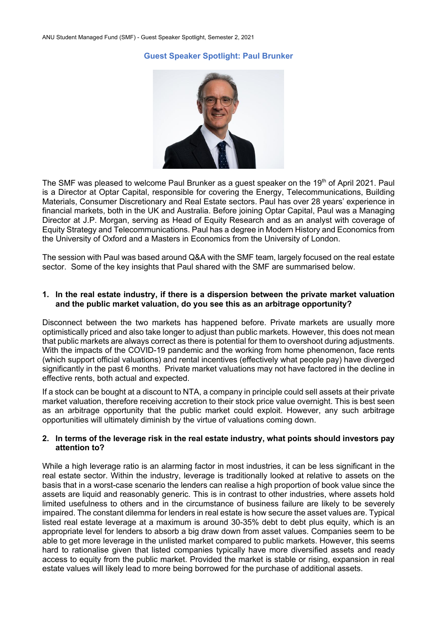# **Guest Speaker Spotlight: Paul Brunker**



The SMF was pleased to welcome Paul Brunker as a quest speaker on the 19<sup>th</sup> of April 2021. Paul is a Director at Optar Capital, responsible for covering the Energy, Telecommunications, Building Materials, Consumer Discretionary and Real Estate sectors. Paul has over 28 years' experience in financial markets, both in the UK and Australia. Before joining Optar Capital, Paul was a Managing Director at J.P. Morgan, serving as Head of Equity Research and as an analyst with coverage of Equity Strategy and Telecommunications. Paul has a degree in Modern History and Economics from the University of Oxford and a Masters in Economics from the University of London.

The session with Paul was based around Q&A with the SMF team, largely focused on the real estate sector. Some of the key insights that Paul shared with the SMF are summarised below.

#### **1. In the real estate industry, if there is a dispersion between the private market valuation and the public market valuation, do you see this as an arbitrage opportunity?**

Disconnect between the two markets has happened before. Private markets are usually more optimistically priced and also take longer to adjust than public markets. However, this does not mean that public markets are always correct as there is potential for them to overshoot during adjustments. With the impacts of the COVID-19 pandemic and the working from home phenomenon, face rents (which support official valuations) and rental incentives (effectively what people pay) have diverged significantly in the past 6 months. Private market valuations may not have factored in the decline in effective rents, both actual and expected.

If a stock can be bought at a discount to NTA, a company in principle could sell assets at their private market valuation, therefore receiving accretion to their stock price value overnight. This is best seen as an arbitrage opportunity that the public market could exploit. However, any such arbitrage opportunities will ultimately diminish by the virtue of valuations coming down.

#### **2. In terms of the leverage risk in the real estate industry, what points should investors pay attention to?**

While a high leverage ratio is an alarming factor in most industries, it can be less significant in the real estate sector. Within the industry, leverage is traditionally looked at relative to assets on the basis that in a worst-case scenario the lenders can realise a high proportion of book value since the assets are liquid and reasonably generic. This is in contrast to other industries, where assets hold limited usefulness to others and in the circumstance of business failure are likely to be severely impaired. The constant dilemma for lenders in real estate is how secure the asset values are. Typical listed real estate leverage at a maximum is around 30-35% debt to debt plus equity, which is an appropriate level for lenders to absorb a big draw down from asset values. Companies seem to be able to get more leverage in the unlisted market compared to public markets. However, this seems hard to rationalise given that listed companies typically have more diversified assets and ready access to equity from the public market. Provided the market is stable or rising, expansion in real estate values will likely lead to more being borrowed for the purchase of additional assets.